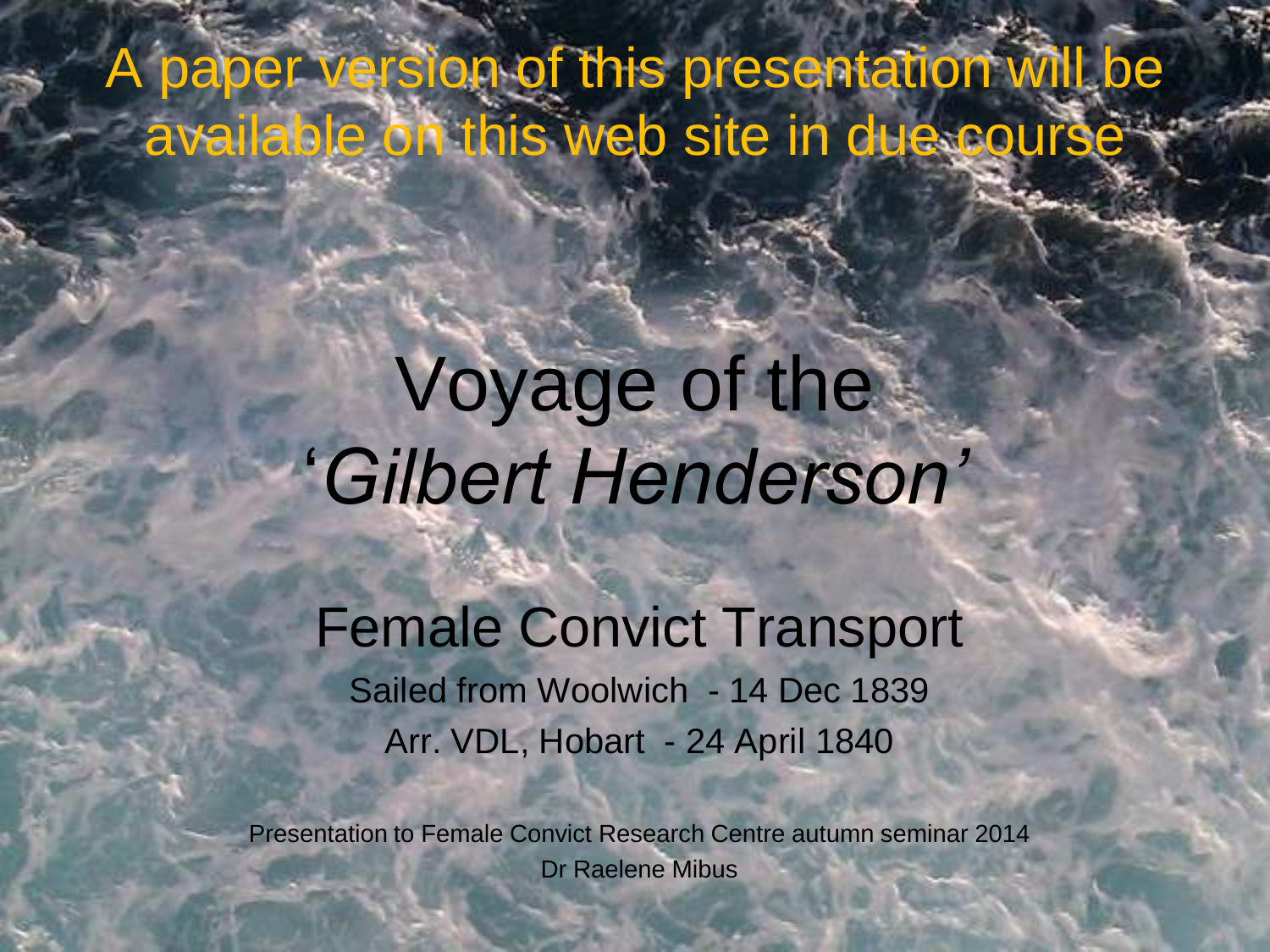A paper version of this presentation will be available on this web site in due course

# Voyage of the '*Gilbert Henderson'*

Female Convict Transport Sailed from Woolwich - 14 Dec 1839 Arr. VDL, Hobart - 24 April 1840

Presentation to Female Convict Research Centre autumn seminar 2014 Dr Raelene Mibus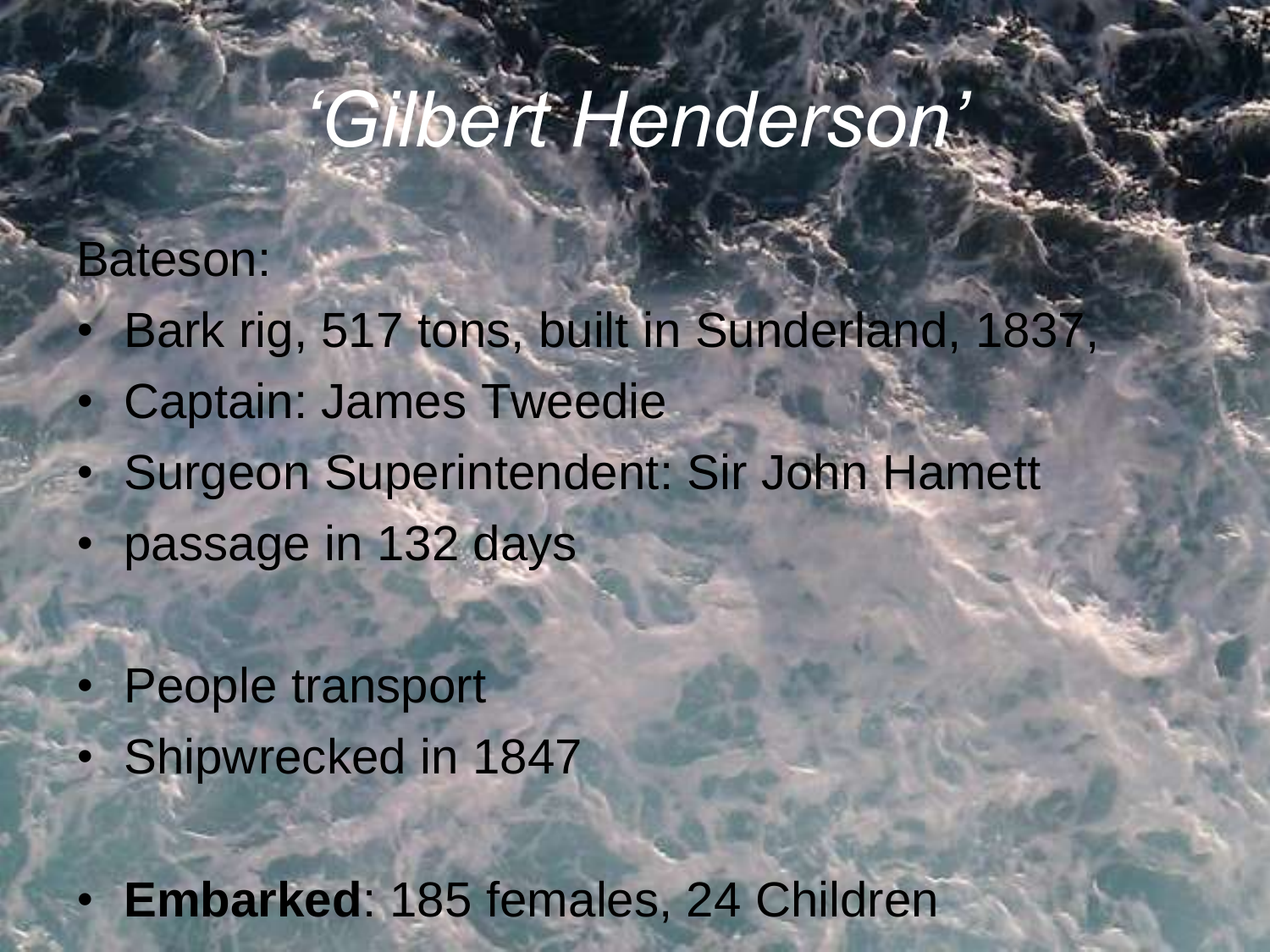# *'Gilbert Henderson'*

Bateson:

- Bark rig, 517 tons, built in Sunderland, 1837,
- Captain: James Tweedie
- Surgeon Superintendent: Sir John Hamett
- passage in 132 days
- People transport Shipwrecked in 1847

• **Embarked**: 185 females, 24 Children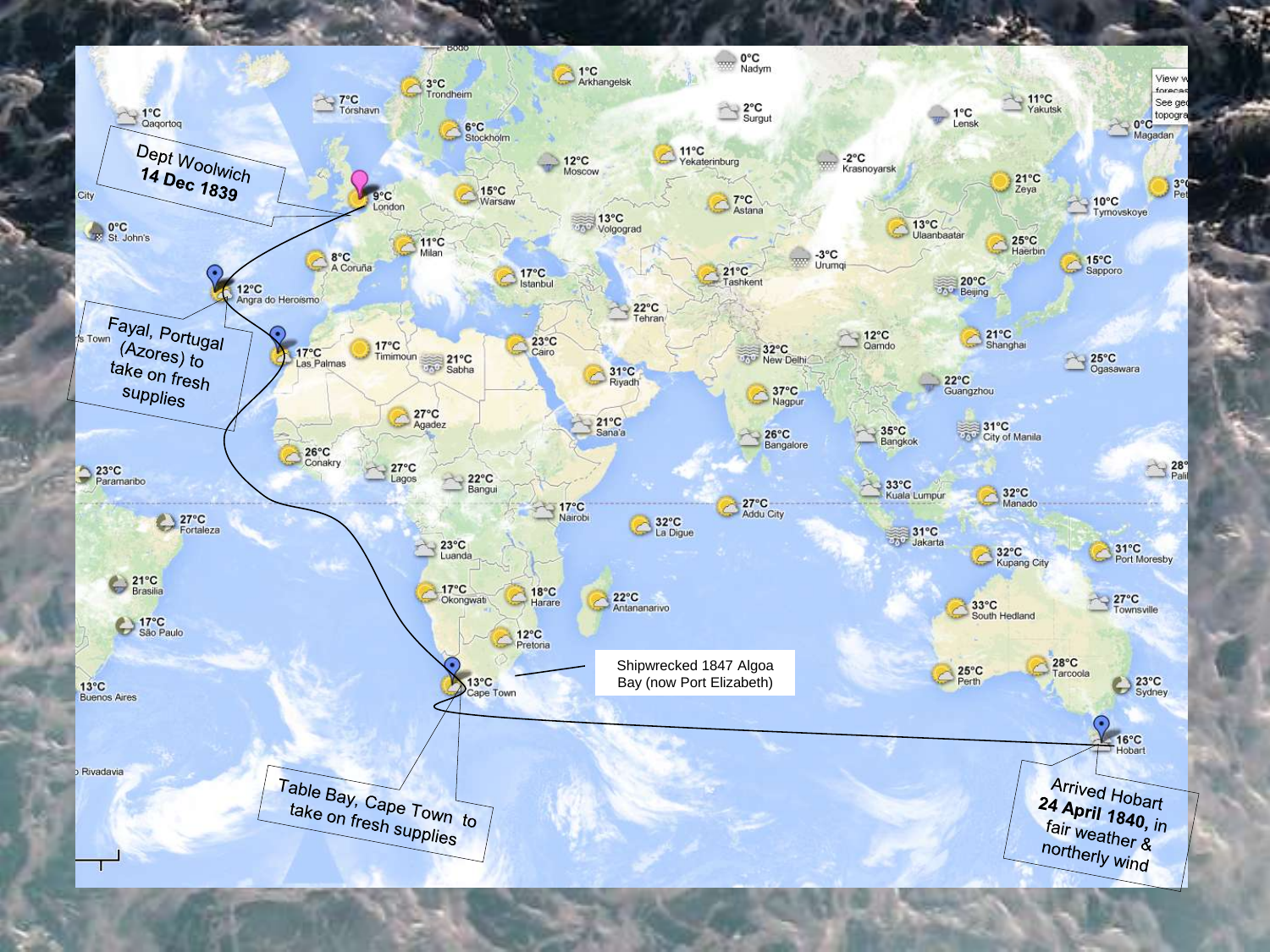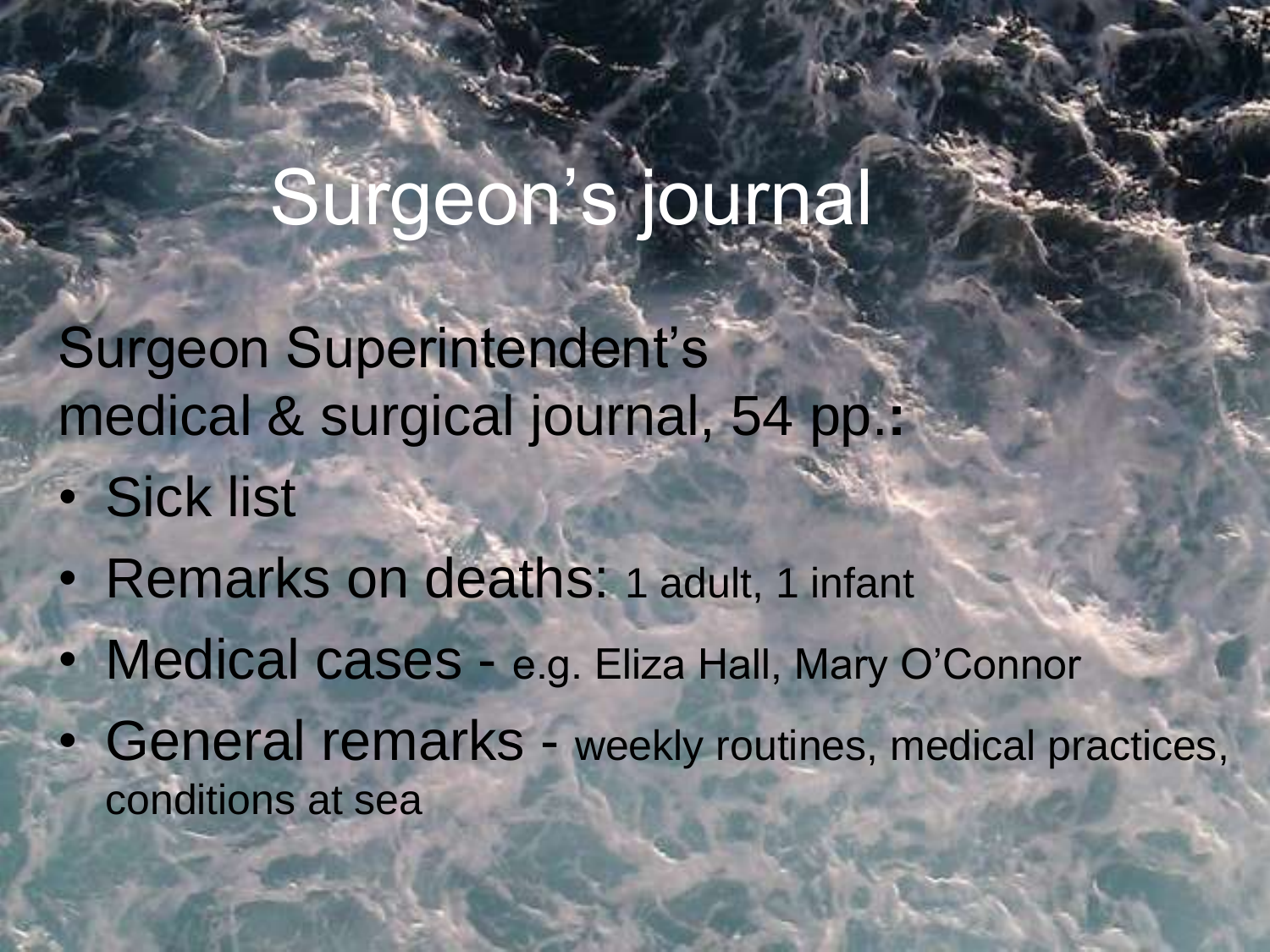### Surgeon's journal

Surgeon Superintendent's medical & surgical journal, 54 pp.**:**

- Sick list
- Remarks on deaths: 1 adult, 1 infant
- Medical cases e.g. Eliza Hall, Mary O'Connor
- General remarks weekly routines, medical practices, conditions at sea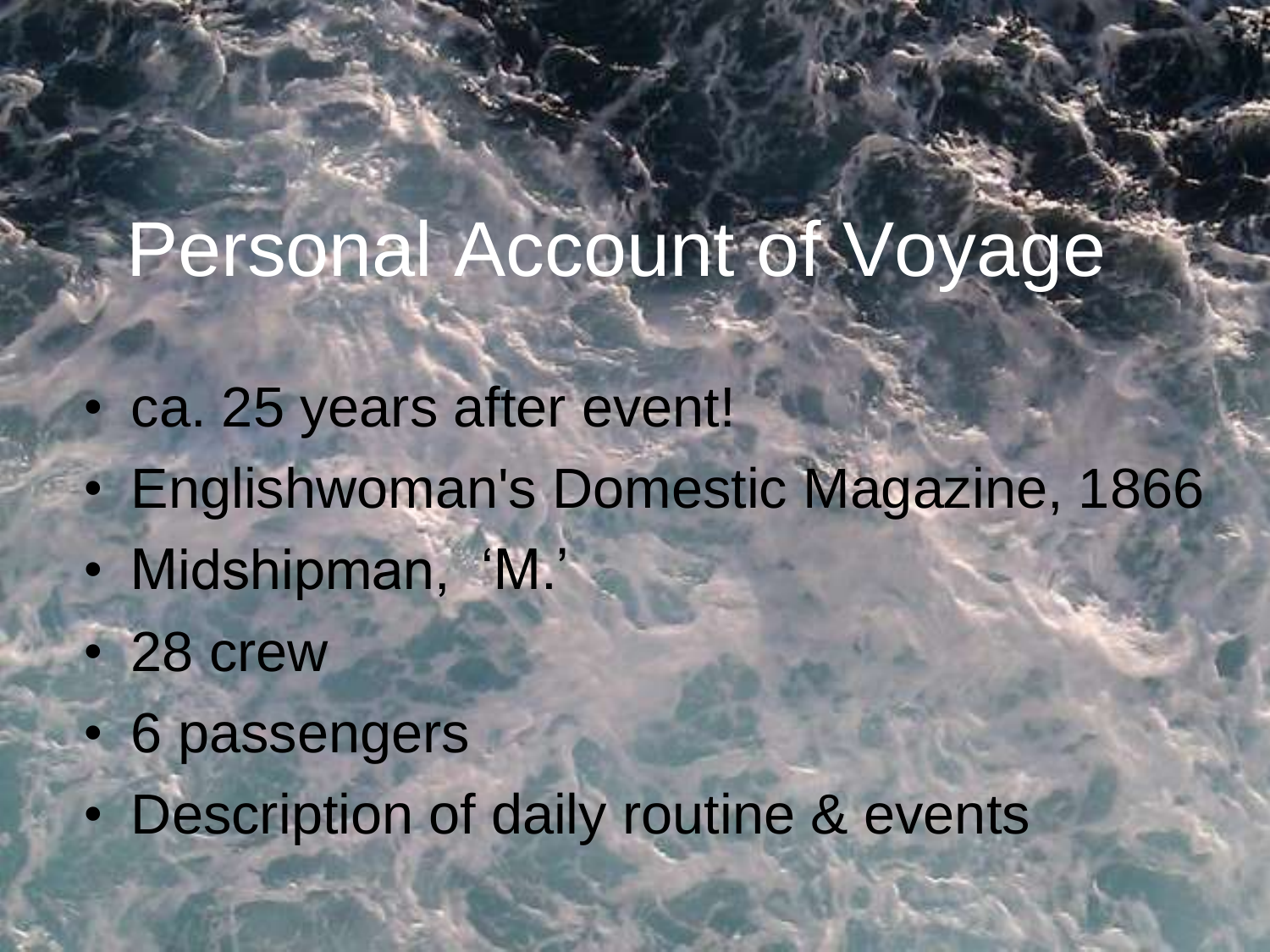## Personal Account of Voyage

- ca. 25 years after event!
- Englishwoman's Domestic Magazine, 1866
- Midshipman, 'M.'
- 28 crew
- 6 passengers
- Description of daily routine & events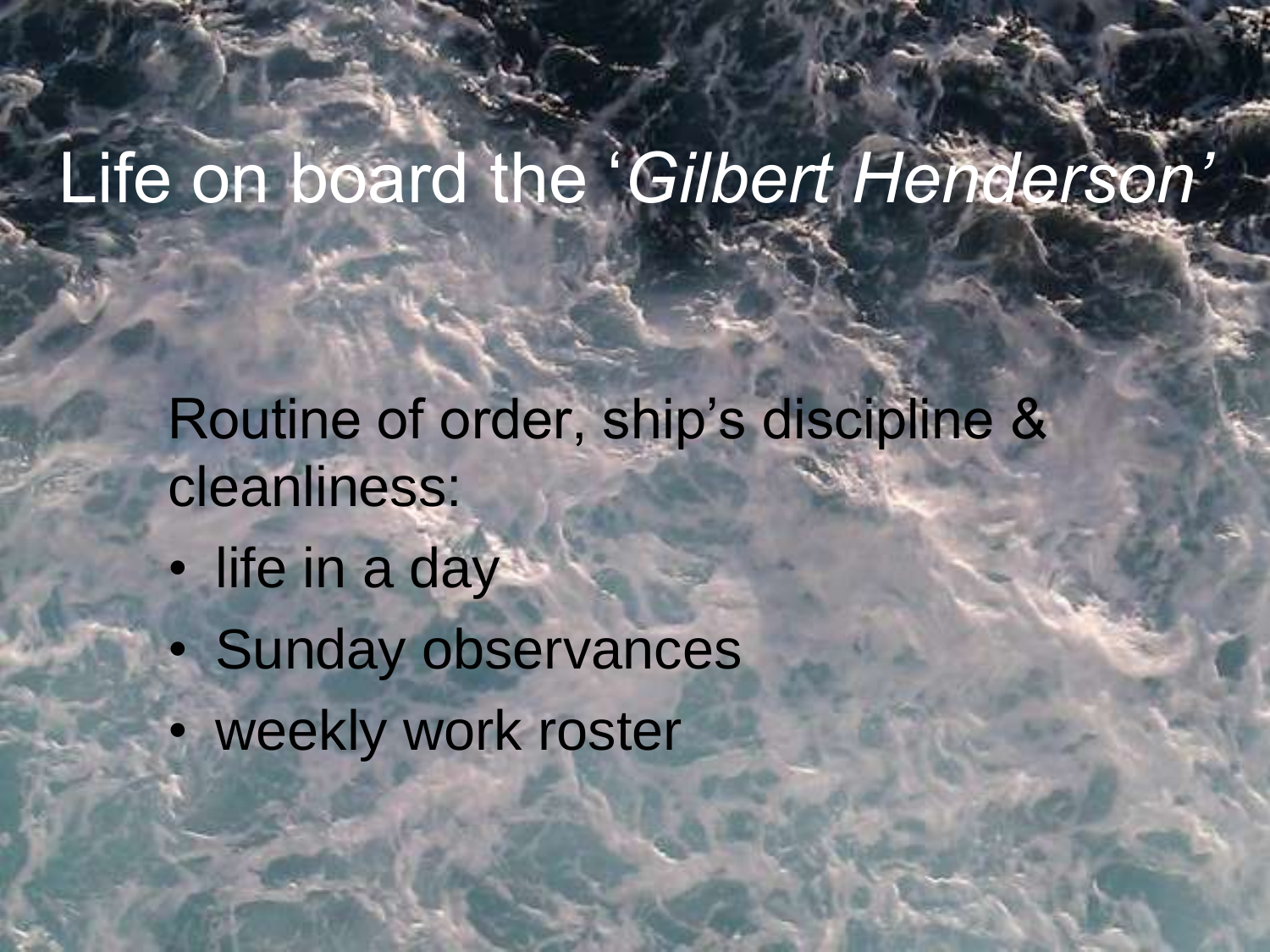## Life on board the '*Gilbert Henderson'*

Routine of order, ship's discipline & cleanliness:

- life in a day
- Sunday observances
- weekly work roster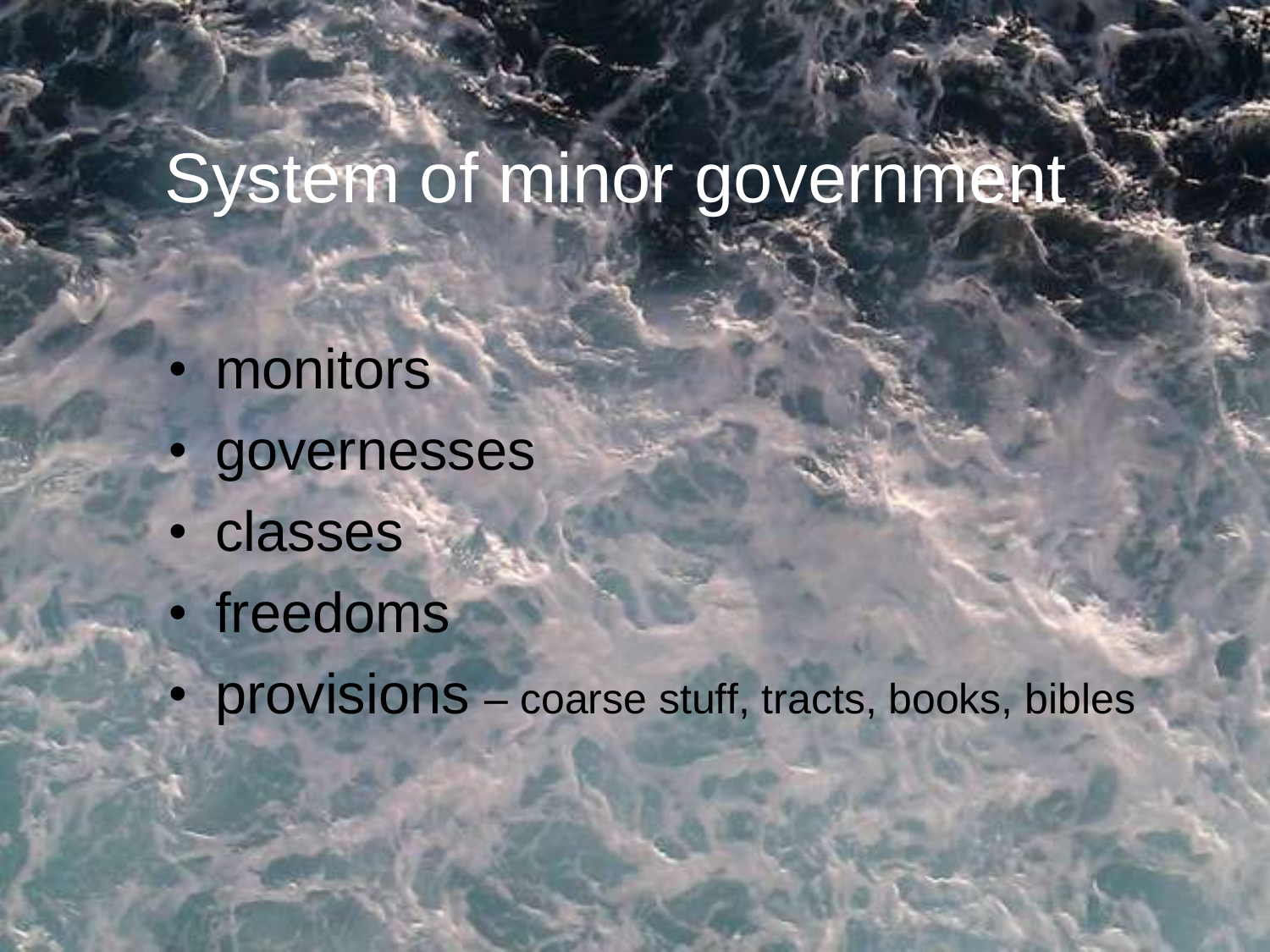#### System of minor government

- monitors
- **governesses**
- classes
- freedoms
- provisions coarse stuff, tracts, books, bibles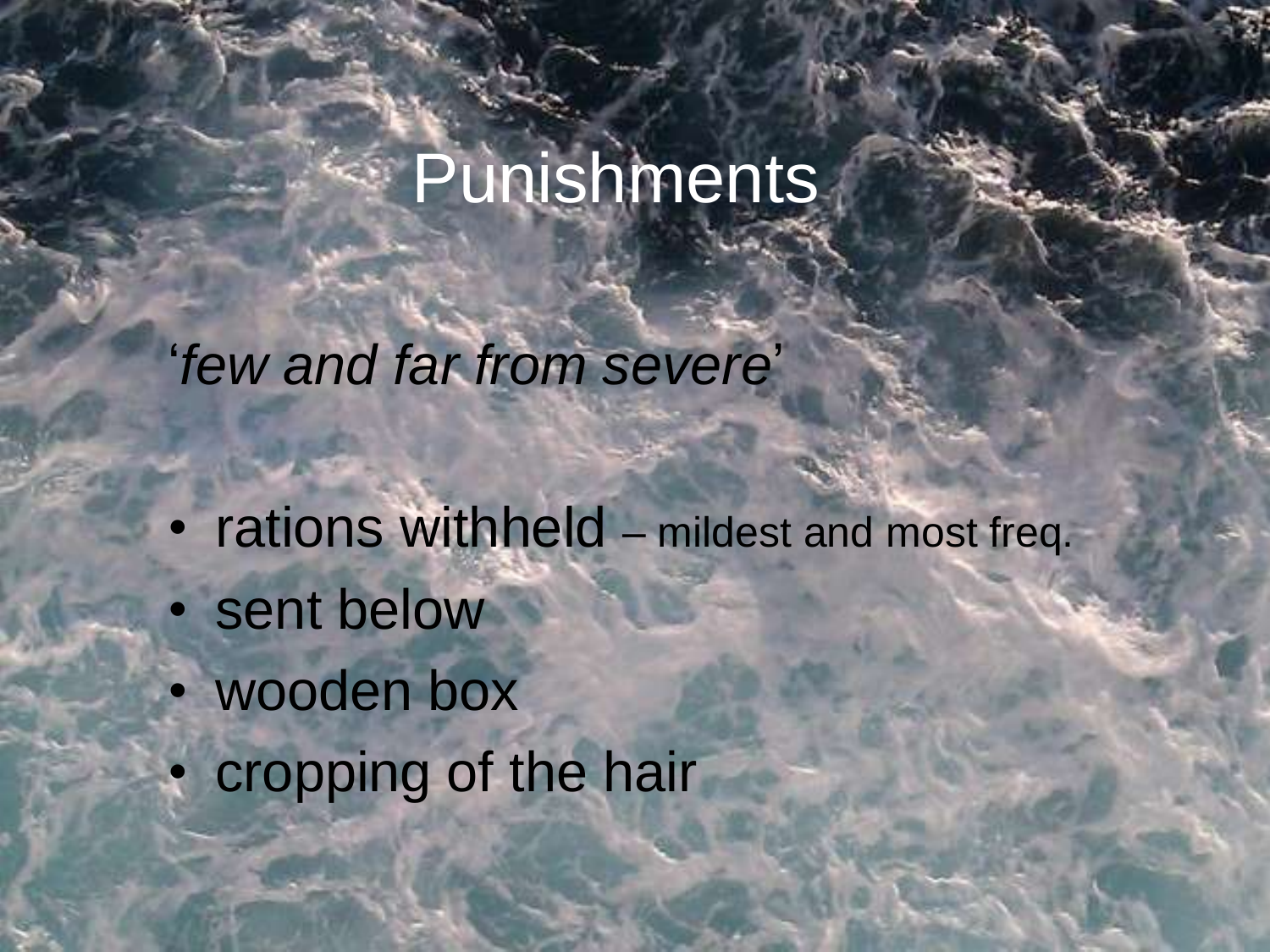### Punishments

'*few and far from severe*'

- rations withheld mildest and most freq.
- sent below
- wooden box
- cropping of the hair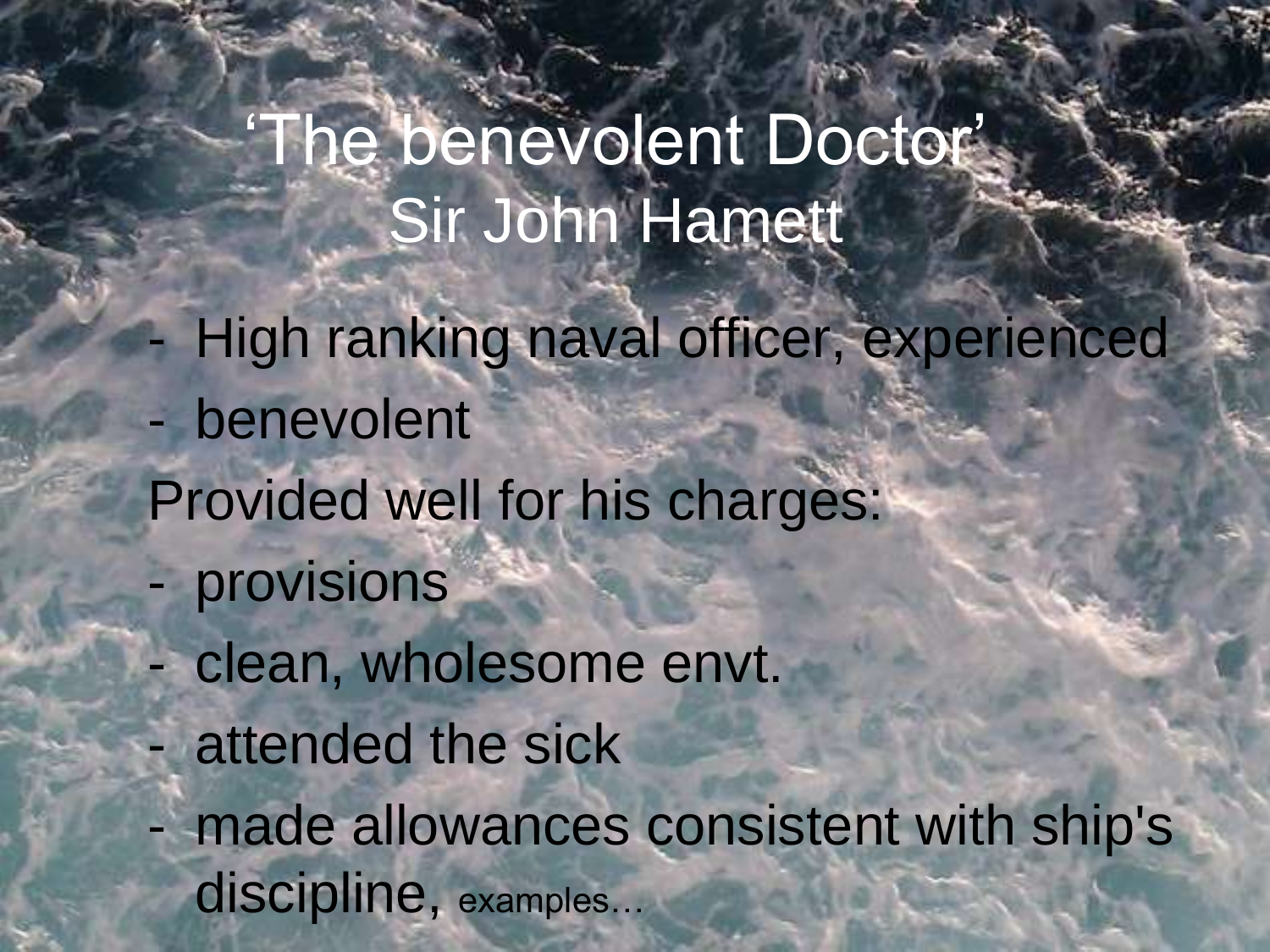'The benevolent Doctor' Sir John Hamett

- High ranking naval officer, experienced
- benevolent Provided well for his charges:
	- provisions
- clean, wholesome envt.
- attended the sick
- made allowances consistent with ship's discipline, examples.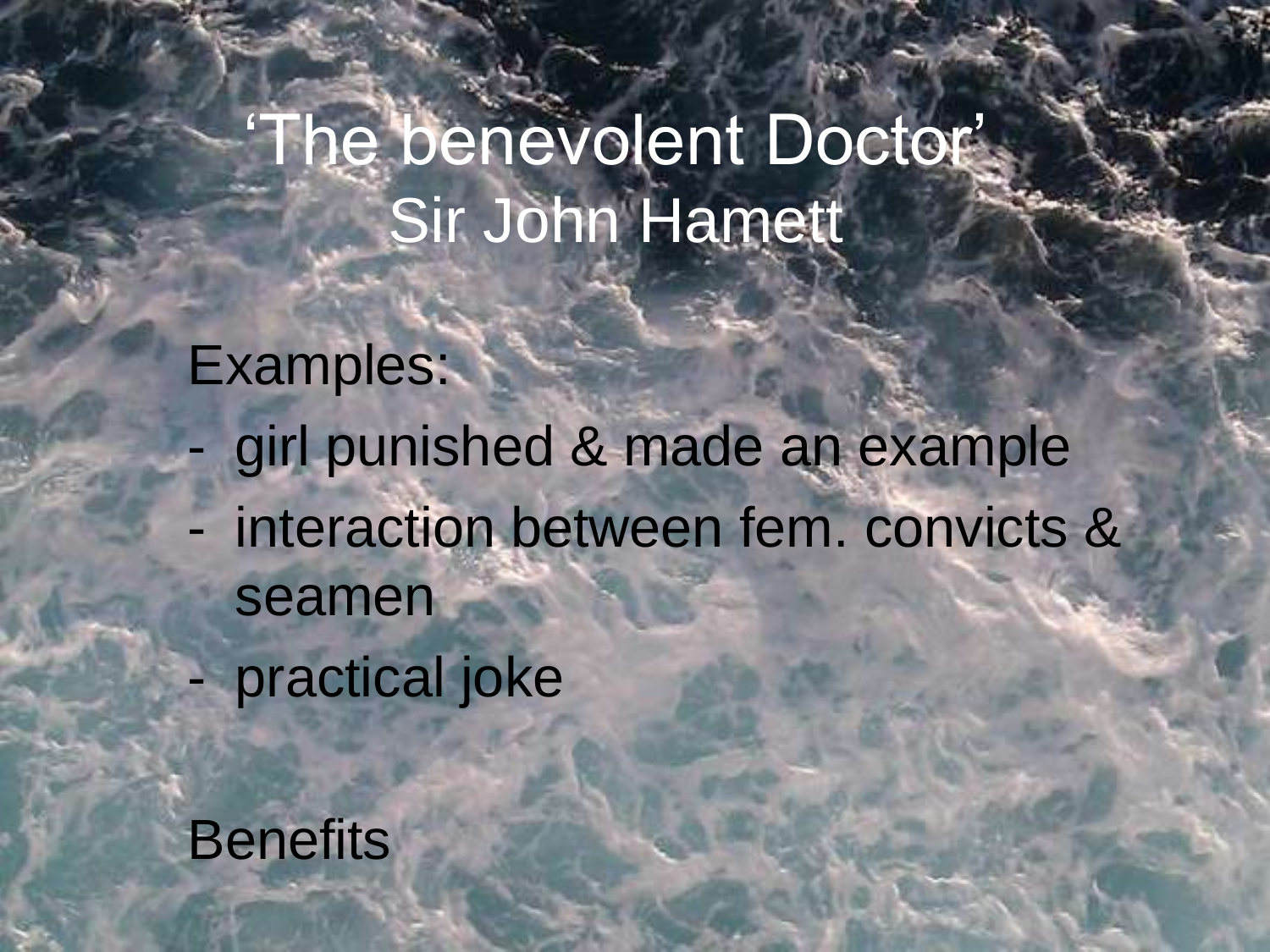## 'The benevolent Doctor' Sir John Hamett

#### Examples:

- girl punished & made an example
- interaction between fem. convicts & seamen
	- practical joke

**Benefits**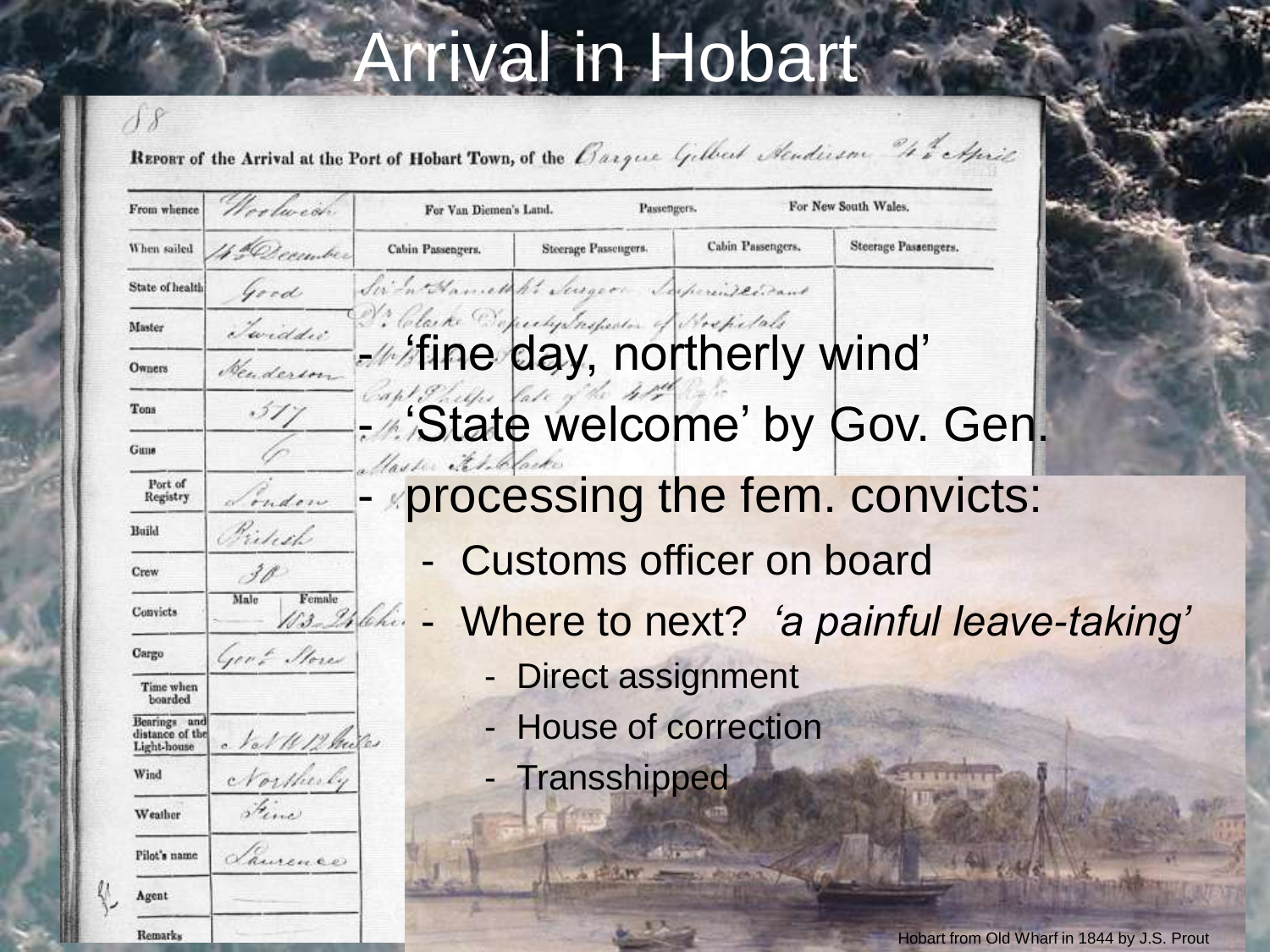## Arrival in Hobart

REPORT of the Arrival at the Port of Hobart Town, of the Barque Gilbert Sendicion " the April

 $\overline{\partial}$ 

| From whence                                    | colución           | For New South Wales.<br>Passengers.<br>For Van Diemen's Land.                          |  |
|------------------------------------------------|--------------------|----------------------------------------------------------------------------------------|--|
| When sailed                                    | 4. <u>December</u> | Cabin Passengers.<br>Steerage Passengers.<br>Steerage Passengers.<br>Cabin Passengers. |  |
| State of health                                | Good               | Sim Anneth hi Jugger Saperingerant                                                     |  |
| Master                                         | Twiddie            | 2. Clarke Deprechy Surfector of Brepelats                                              |  |
| Owners                                         | Denderson          | <b>Altine day, northerly wind'</b>                                                     |  |
| Tons                                           | .517               | Capt Phillis Vale<br>- State welcome' by Gov. Gen.                                     |  |
| Guns                                           |                    | laste it to lacke                                                                      |  |
| Port of<br>Registry                            | indow              | processing the fem. convicts:                                                          |  |
| Build                                          | Fishel             |                                                                                        |  |
| Crew                                           | 30<br>Female       | <b>Customs officer on board</b>                                                        |  |
| Convicts                                       | Male               | Where to next? 'a painful leave-taking'<br>13-246hi.                                   |  |
| Cargo                                          | Gert Stores        | <b>Direct assignment</b>                                                               |  |
| Time when<br>boarded                           |                    |                                                                                        |  |
| Bearings and<br>distance of the<br>Light-house | Not 11/2 have      | House of correction                                                                    |  |
| Wind                                           | Northerly          | - Transshipped                                                                         |  |
| Weather                                        | Fine               |                                                                                        |  |
| Pilot's name                                   | Laurence           |                                                                                        |  |
| Agent                                          |                    |                                                                                        |  |
| Remarks                                        |                    | Hobart from Old Wharf in 1844 by LS Pro                                                |  |

Hobart from Old Wharf in 1844 by J.S. Prout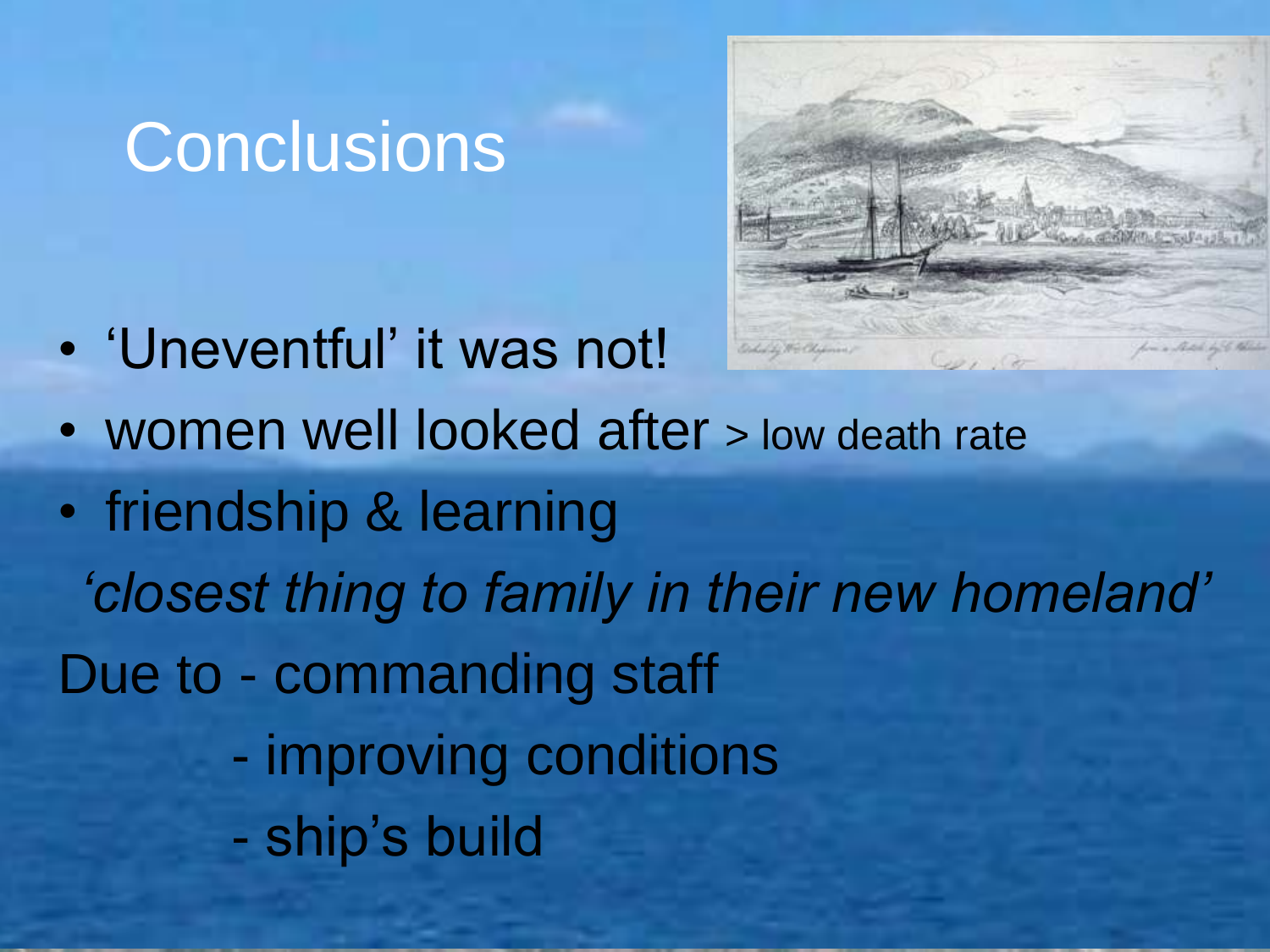#### **Conclusions**

• 'Uneventful' it was not!



- women well looked after > low death rate
- friendship & learning *'closest thing to family in their new homeland'* Due to - commanding staff - improving conditions - ship's build